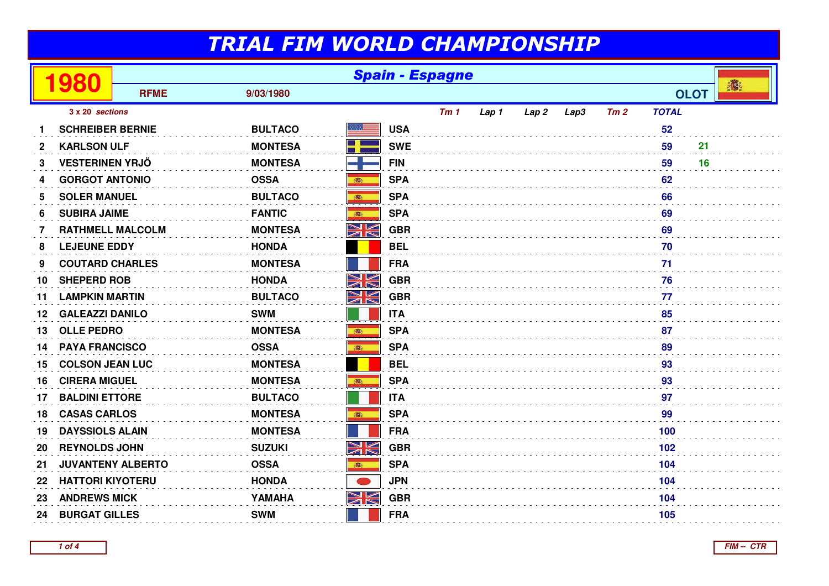|              | 980                      | <b>Spain - Espagne</b> |                |            |            |       |       |      |     |              |     |             |   |
|--------------|--------------------------|------------------------|----------------|------------|------------|-------|-------|------|-----|--------------|-----|-------------|---|
|              |                          | <b>RFME</b>            | 9/03/1980      |            |            |       |       |      |     |              |     | <b>OLOT</b> | 灣 |
|              | 3 x 20 sections          |                        |                |            | Tm1        | Lap 1 | Lap 2 | Lap3 | Tm2 | <b>TOTAL</b> |     |             |   |
|              | <b>SCHREIBER BERNIE</b>  |                        | <b>BULTACO</b> |            | <b>USA</b> |       |       |      |     |              | 52  |             |   |
| $\mathbf{2}$ | <b>KARLSON ULF</b>       |                        | <b>MONTESA</b> | ٣ł         | <b>SWE</b> |       |       |      |     |              | 59  | 21          |   |
| 3            | <b>VESTERINEN YRJÖ</b>   |                        | <b>MONTESA</b> |            | <b>FIN</b> |       |       |      |     |              | 59  | 16          |   |
| 4            | <b>GORGOT ANTONIO</b>    |                        | <b>OSSA</b>    | 高          | <b>SPA</b> |       |       |      |     |              | 62  |             |   |
| 5            | <b>SOLER MANUEL</b>      |                        | <b>BULTACO</b> | ●          | <b>SPA</b> |       |       |      |     |              | 66  |             |   |
| 6            | <b>SUBIRA JAIME</b>      |                        | <b>FANTIC</b>  | <b>BEE</b> | <b>SPA</b> |       |       |      |     |              | 69  |             |   |
| 7            | <b>RATHMELL MALCOLM</b>  |                        | <b>MONTESA</b> | NK         | <b>GBR</b> |       |       |      |     |              | 69  |             |   |
| 8            | <b>LEJEUNE EDDY</b>      |                        | <b>HONDA</b>   |            | <b>BEL</b> |       |       |      |     |              | 70  |             |   |
| 9            | <b>COUTARD CHARLES</b>   |                        | <b>MONTESA</b> |            | <b>FRA</b> |       |       |      |     |              | 71  |             |   |
| 10           | <b>SHEPERD ROB</b>       |                        | <b>HONDA</b>   | NK         | <b>GBR</b> |       |       |      |     |              | 76  |             |   |
| 11           | <b>LAMPKIN MARTIN</b>    |                        | <b>BULTACO</b> | NK<br>ZK   | <b>GBR</b> |       |       |      |     |              | 77  |             |   |
| 12           | <b>GALEAZZI DANILO</b>   |                        | <b>SWM</b>     |            | <b>ITA</b> |       |       |      |     |              | 85  |             |   |
| 13           | <b>OLLE PEDRO</b>        |                        | <b>MONTESA</b> | 高          | <b>SPA</b> |       |       |      |     |              | 87  |             |   |
| 14           | <b>PAYA FRANCISCO</b>    |                        | <b>OSSA</b>    | 100        | <b>SPA</b> |       |       |      |     |              | 89  |             |   |
| 15           | <b>COLSON JEAN LUC</b>   |                        | <b>MONTESA</b> |            | <b>BEL</b> |       |       |      |     |              | 93  |             |   |
| 16           | <b>CIRERA MIGUEL</b>     |                        | <b>MONTESA</b> | 瓣          | <b>SPA</b> |       |       |      |     |              | 93  |             |   |
| 17           | <b>BALDINI ETTORE</b>    |                        | <b>BULTACO</b> |            | <b>ITA</b> |       |       |      |     |              | 97  |             |   |
| 18           | <b>CASAS CARLOS</b>      |                        | <b>MONTESA</b> | 高          | <b>SPA</b> |       |       |      |     |              | 99  |             |   |
| 19           | <b>DAYSSIOLS ALAIN</b>   |                        | <b>MONTESA</b> |            | <b>FRA</b> |       |       |      |     |              | 100 |             |   |
| 20           | <b>REYNOLDS JOHN</b>     |                        | <b>SUZUKI</b>  | NK<br>ZK   | <b>GBR</b> |       |       |      |     |              | 102 |             |   |
| 21           | <b>JUVANTENY ALBERTO</b> |                        | <b>OSSA</b>    |            | <b>SPA</b> |       |       |      |     |              | 104 |             |   |
| 22           | <b>HATTORI KIYOTERU</b>  |                        | <b>HONDA</b>   |            | <b>JPN</b> |       |       |      |     |              | 104 |             |   |
| 23           | <b>ANDREWS MICK</b>      |                        | YAMAHA         | NK         | <b>GBR</b> |       |       |      |     |              | 104 |             |   |
| 24           | <b>BURGAT GILLES</b>     |                        | <b>SWM</b>     |            | <b>FRA</b> |       |       |      |     |              | 105 |             |   |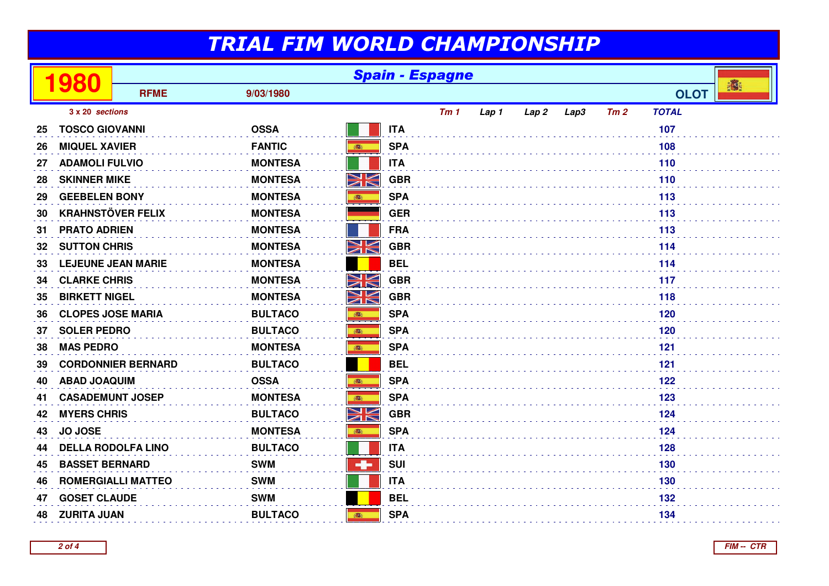|    | 980                       | <b>Spain - Espagne</b>    |                |          |            |     |       |       |      |     |              |   |
|----|---------------------------|---------------------------|----------------|----------|------------|-----|-------|-------|------|-----|--------------|---|
|    |                           | <b>RFME</b>               | 9/03/1980      |          |            |     |       |       |      |     | <b>OLOT</b>  | 橘 |
|    | 3 x 20 sections           |                           |                |          |            | Tm1 | Lap 1 | Lap 2 | Lap3 | Tm2 | <b>TOTAL</b> |   |
| 25 | <b>TOSCO GIOVANNI</b>     |                           | <b>OSSA</b>    |          | <b>ITA</b> |     |       |       |      |     | 107          |   |
| 26 | <b>MIQUEL XAVIER</b>      |                           | <b>FANTIC</b>  | ●        | <b>SPA</b> |     |       |       |      |     | 108          |   |
| 27 | <b>ADAMOLI FULVIO</b>     |                           | <b>MONTESA</b> |          | <b>ITA</b> |     |       |       |      |     | 110          |   |
| 28 | <b>SKINNER MIKE</b>       |                           | <b>MONTESA</b> | NK<br>ZK | <b>GBR</b> |     |       |       |      |     | 110          |   |
| 29 | <b>GEEBELEN BONY</b>      |                           | <b>MONTESA</b> | 高        | <b>SPA</b> |     |       |       |      |     | 113          |   |
| 30 | <b>KRAHNSTÖVER FELIX</b>  |                           | <b>MONTESA</b> |          | <b>GER</b> |     |       |       |      |     | 113          |   |
| 31 | <b>PRATO ADRIEN</b>       |                           | <b>MONTESA</b> |          | <b>FRA</b> |     |       |       |      |     | 113          |   |
| 32 | <b>SUTTON CHRIS</b>       |                           | <b>MONTESA</b> | NK<br>ZK | <b>GBR</b> |     |       |       |      |     | 114          |   |
| 33 | <b>LEJEUNE JEAN MARIE</b> |                           | <b>MONTESA</b> |          | <b>BEL</b> |     |       |       |      |     | 114          |   |
| 34 | <b>CLARKE CHRIS</b>       |                           | <b>MONTESA</b> | NK<br>N  | <b>GBR</b> |     |       |       |      |     | 117          |   |
| 35 | <b>BIRKETT NIGEL</b>      |                           | <b>MONTESA</b> | NK<br>ZN | <b>GBR</b> |     | 118   |       |      |     |              |   |
| 36 | <b>CLOPES JOSE MARIA</b>  |                           | <b>BULTACO</b> | 高        | <b>SPA</b> |     |       |       |      |     | 120          |   |
| 37 | <b>SOLER PEDRO</b>        |                           | <b>BULTACO</b> | 高        | <b>SPA</b> |     |       |       |      |     | 120          |   |
| 38 | <b>MAS PEDRO</b>          |                           | <b>MONTESA</b> | 高        | <b>SPA</b> |     |       |       |      |     | 121          |   |
| 39 |                           | <b>CORDONNIER BERNARD</b> | <b>BULTACO</b> |          | <b>BEL</b> |     |       |       |      |     | 121          |   |
| 40 | <b>ABAD JOAQUIM</b>       |                           | <b>OSSA</b>    | 瓣        | <b>SPA</b> |     |       |       |      |     | 122          |   |
| 41 | <b>CASADEMUNT JOSEP</b>   |                           | <b>MONTESA</b> | ●        | <b>SPA</b> |     |       |       |      |     | 123          |   |
| 42 | <b>MYERS CHRIS</b>        |                           | <b>BULTACO</b> | Ж        | <b>GBR</b> |     |       |       |      |     | 124          |   |
| 43 | <b>JO JOSE</b>            |                           | <b>MONTESA</b> | 高        | <b>SPA</b> |     |       |       |      |     | 124          |   |
| 44 | <b>DELLA RODOLFA LINO</b> |                           | <b>BULTACO</b> |          | <b>ITA</b> |     |       |       |      |     | 128          |   |
| 45 | <b>BASSET BERNARD</b>     |                           | <b>SWM</b>     | ÷        | <b>SUI</b> |     |       |       |      |     | 130          |   |
| 46 | <b>ROMERGIALLI MATTEO</b> |                           | <b>SWM</b>     |          | <b>ITA</b> |     |       |       |      |     | 130          |   |
| 47 | <b>GOSET CLAUDE</b>       |                           | <b>SWM</b>     |          | <b>BEL</b> |     |       |       |      |     | 132          |   |
| 48 | <b>ZURITA JUAN</b>        |                           | <b>BULTACO</b> | 高        | <b>SPA</b> |     |       |       |      |     | 134          |   |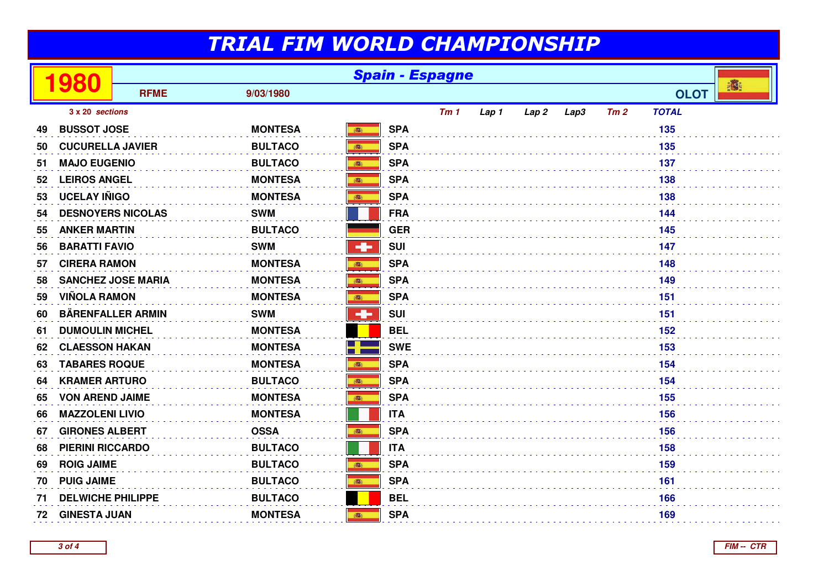|    | 980                       | <b>Spain - Espagne</b> |                |               |            |     |       |                  |      |     |              |   |
|----|---------------------------|------------------------|----------------|---------------|------------|-----|-------|------------------|------|-----|--------------|---|
|    |                           | <b>RFME</b>            | 9/03/1980      |               |            |     |       |                  |      |     | <b>OLOT</b>  | 榔 |
|    | 3 x 20 sections           |                        |                |               |            | Tm1 | Lap 1 | Lap <sub>2</sub> | Lap3 | Tm2 | <b>TOTAL</b> |   |
| 49 | <b>BUSSOT JOSE</b>        |                        | <b>MONTESA</b> | ●             | <b>SPA</b> |     |       |                  |      |     | 135          |   |
| 50 | <b>CUCURELLA JAVIER</b>   |                        | <b>BULTACO</b> |               | <b>SPA</b> |     |       |                  |      |     | 135          |   |
| 51 | <b>MAJO EUGENIO</b>       |                        | <b>BULTACO</b> | 高             | <b>SPA</b> |     |       |                  |      |     | 137          |   |
| 52 | <b>LEIROS ANGEL</b>       |                        | <b>MONTESA</b> |               | <b>SPA</b> |     |       |                  |      |     | 138          |   |
| 53 | <b>UCELAY IÑIGO</b>       |                        | <b>MONTESA</b> | 高             | <b>SPA</b> |     |       |                  |      |     | 138          |   |
| 54 | <b>DESNOYERS NICOLAS</b>  |                        | <b>SWM</b>     |               | <b>FRA</b> |     |       |                  |      |     | 144          |   |
| 55 | <b>ANKER MARTIN</b>       |                        | <b>BULTACO</b> |               | <b>GER</b> |     |       |                  |      |     | 145          |   |
| 56 | <b>BARATTI FAVIO</b>      |                        | <b>SWM</b>     | ÷             | <b>SUI</b> |     |       |                  |      |     | 147          |   |
| 57 | <b>CIRERA RAMON</b>       |                        | <b>MONTESA</b> | 高             | <b>SPA</b> |     |       |                  |      |     | 148          |   |
| 58 | <b>SANCHEZ JOSE MARIA</b> |                        | <b>MONTESA</b> | 高             | <b>SPA</b> |     |       |                  |      |     | 149          |   |
| 59 | <b>VIÑOLA RAMON</b>       |                        | <b>MONTESA</b> | ●             | <b>SPA</b> |     |       |                  |      |     | 151          |   |
| 60 | <b>BÄRENFALLER ARMIN</b>  |                        | <b>SWM</b>     | $\frac{1}{2}$ | <b>SUI</b> |     |       |                  |      |     | 151          |   |
| 61 | <b>DUMOULIN MICHEL</b>    |                        | <b>MONTESA</b> |               | <b>BEL</b> |     |       |                  |      |     | 152          |   |
| 62 | <b>CLAESSON HAKAN</b>     |                        | <b>MONTESA</b> |               | <b>SWE</b> |     |       |                  |      |     | 153          |   |
| 63 | <b>TABARES ROQUE</b>      |                        | <b>MONTESA</b> | 高             | <b>SPA</b> |     |       |                  |      |     | 154          |   |
| 64 | <b>KRAMER ARTURO</b>      |                        | <b>BULTACO</b> |               | <b>SPA</b> |     |       |                  |      |     | 154          |   |
| 65 | <b>VON AREND JAIME</b>    |                        | <b>MONTESA</b> | 高             | <b>SPA</b> |     |       |                  |      |     | 155          |   |
| 66 | <b>MAZZOLENI LIVIO</b>    |                        | <b>MONTESA</b> |               | <b>ITA</b> |     |       |                  |      |     | 156          |   |
| 67 | <b>GIRONES ALBERT</b>     |                        | <b>OSSA</b>    | 高             | <b>SPA</b> |     |       |                  |      |     | 156          |   |
| 68 | <b>PIERINI RICCARDO</b>   |                        | <b>BULTACO</b> |               | <b>ITA</b> |     |       |                  |      |     | 158          |   |
| 69 | <b>ROIG JAIME</b>         |                        | <b>BULTACO</b> | ■             | <b>SPA</b> |     |       |                  |      |     | 159          |   |
| 70 | <b>PUIG JAIME</b>         |                        | <b>BULTACO</b> | 高             | <b>SPA</b> |     |       |                  |      |     | 161          |   |
| 71 | <b>DELWICHE PHILIPPE</b>  |                        | <b>BULTACO</b> |               | <b>BEL</b> |     |       |                  |      |     | 166          |   |
| 72 | <b>GINESTA JUAN</b>       |                        | <b>MONTESA</b> | 高             | <b>SPA</b> |     |       |                  |      |     | 169          |   |